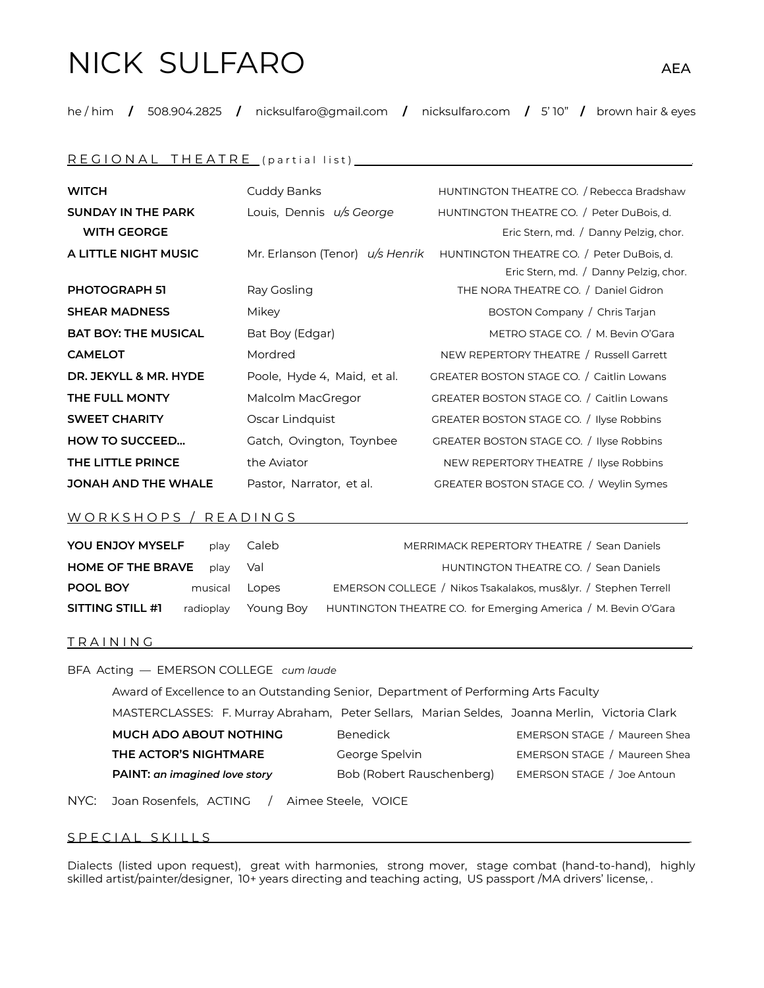# NICK SULFARO AEA

he / him **/** 508.904.2825 **/** nicksulfaro@gmail.com **/** nicksulfaro.com **/** 5' 10" **/** brown hair & eyes

## R E G I O N A L T H E A T R E ( p a r t i a l l i s t ) .

| <b>WITCH</b>                | Cuddy Banks                 | HUNTINGTON THEATRE CO. / Rebecca Bradshaw                                 |
|-----------------------------|-----------------------------|---------------------------------------------------------------------------|
| <b>SUNDAY IN THE PARK</b>   | Louis, Dennis u/s George    | HUNTINGTON THEATRE CO. / Peter DuBois, d.                                 |
| <b>WITH GEORGE</b>          |                             | Eric Stern, md. / Danny Pelzig, chor.                                     |
| A LITTLE NIGHT MUSIC        |                             | Mr. Erlanson (Tenor) u/s Henrik HUNTINGTON THEATRE CO. / Peter DuBois, d. |
|                             |                             | Eric Stern, md. / Danny Pelzig, chor.                                     |
| <b>PHOTOGRAPH 51</b>        | Ray Gosling                 | THE NORA THEATRE CO. / Daniel Gidron                                      |
| <b>SHEAR MADNESS</b>        | Mikey                       | BOSTON Company / Chris Tarjan                                             |
| <b>BAT BOY: THE MUSICAL</b> | Bat Boy (Edgar)             | METRO STAGE CO. / M. Bevin O'Gara                                         |
| <b>CAMELOT</b>              | Mordred                     | NEW REPERTORY THEATRE / Russell Garrett                                   |
| DR. JEKYLL & MR. HYDE       | Poole, Hyde 4, Maid, et al. | GREATER BOSTON STAGE CO. / Caitlin Lowans                                 |
| THE FULL MONTY              | Malcolm MacGregor           | GREATER BOSTON STAGE CO. / Caitlin Lowans                                 |
| <b>SWEET CHARITY</b>        | Oscar Lindquist             | GREATER BOSTON STAGE CO. / Ilyse Robbins                                  |
| <b>HOW TO SUCCEED</b>       | Gatch, Ovington, Toynbee    | GREATER BOSTON STAGE CO. / Ilyse Robbins                                  |
| THE LITTLE PRINCE           | the Aviator                 | NEW REPERTORY THEATRE / Ilyse Robbins                                     |
| <b>JONAH AND THE WHALE</b>  | Pastor, Narrator, et al.    | GREATER BOSTON STAGE CO. / Weylin Symes                                   |

### W O R K S H O P S / R E A D I N G S

| <b>YOU ENJOY MYSELF</b>  | play          | Caleb     | MERRIMACK REPERTORY THEATRE / Sean Daniels                     |
|--------------------------|---------------|-----------|----------------------------------------------------------------|
| <b>HOME OF THE BRAVE</b> | play          | Val       | HUNTINGTON THEATRE CO. / Sean Daniels                          |
| POOL BOY                 | musical Lopes |           | EMERSON COLLEGE / Nikos Tsakalakos, mus&lyr. / Stephen Terrell |
| SITTING STILL #1         | radioplay     | Youna Bov | HUNTINGTON THEATRE CO. for Emerging America / M. Bevin O'Gara  |

#### T R A I N I N G .

BFA Acting — EMERSON COLLEGE *cum laude*

Award of Excellence to an Outstanding Senior, Department of Performing Arts Faculty MASTERCLASSES: F. Murray Abraham, Peter Sellars, Marian Seldes, Joanna Merlin, Victoria Clark **MUCH ADO ABOUT NOTHING** Benedick **Benedick** EMERSON STAGE / Maureen Shea **THE ACTOR'S NIGHTMARE** George Spelvin **EMERSON STAGE** / Maureen Shea **PAINT: an imagined love story** Bob (Robert Rauschenberg) EMERSON STAGE / Joe Antoun

NYC: Joan Rosenfels, ACTING / Aimee Steele, VOICE

## S P E C I A L S K I L L S

Dialects (listed upon request), great with harmonies, strong mover, stage combat (hand-to-hand), highly skilled artist/painter/designer, 10+ years directing and teaching acting, US passport /MA drivers' license, .